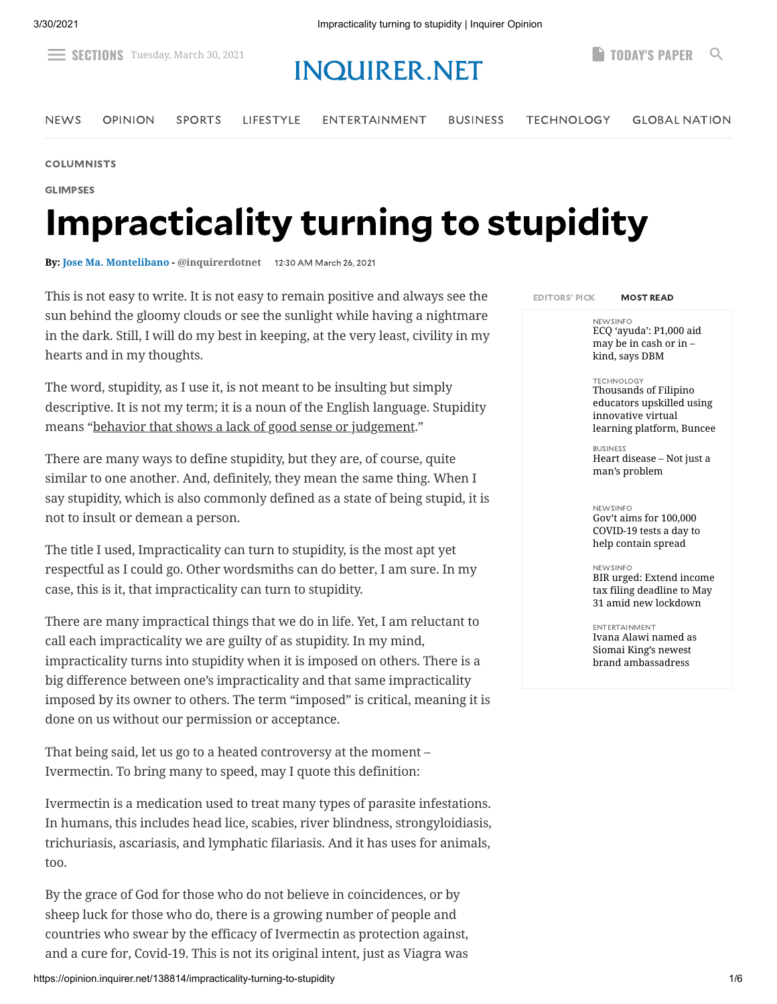## $\equiv$  SECTIONS<sup>-Tuesday, March 30, 2021 **INQUIRER.NET [TODAY'S](https://www.inquirer.net/page-one-single/319249) PAPER** Q</sup>

[NEWS](https://newsinfo.inquirer.net/) [OPINION](https://opinion.inquirer.net/) [SPORTS](https://sports.inquirer.net/) [LIFESTYLE](https://lifestyle.inquirer.net/) [ENTERTAINMENT](https://entertainment.inquirer.net/) [BUSINESS](https://business.inquirer.net/) [TECHNOLOGY](https://technology.inquirer.net/) GLOBAL [NATION](https://globalnation.inquirer.net/)

[COLUMNISTS](https://opinion.inquirer.net/category/columnists)

GLIMPSES

# Impracticality turning to stupidity

**By: [Jose Ma. Montelibano](https://opinion.inquirer.net/byline/jose-ma-montelibano) - [@inquirerdotnet](https://www.twitter.com/@inquirerdotnet)** 1230 AM March 26, 2021

This is not easy to write. It is not easy to remain positive and always see the sun behind the gloomy clouds or see the sunlight while having a nightmare in the dark. Still, I will do my best in keeping, at the very least, civility in my hearts and in my thoughts.

The word, stupidity, as I use it, is not meant to be insulting but simply descriptive. It is not my term; it is a noun of the English language. Stupidity means "behavior that shows a lack of good sense or judgement."

There are many ways to define stupidity, but they are, of course, quite similar to one another. And, definitely, they mean the same thing. When I say stupidity, which is also commonly defined as a state of being stupid, it is not to insult or demean a person.

The title I used, Impracticality can turn to stupidity, is the most apt yet respectful as I could go. Other wordsmiths can do better, I am sure. In my case, this is it, that impracticality can turn to stupidity.

There are many impractical things that we do in life. Yet, I am reluctant to call each impracticality we are guilty of as stupidity. In my mind, impracticality turns into stupidity when it is imposed on others. There is a big difference between one's impracticality and that same impracticality imposed by its owner to others. The term "imposed" is critical, meaning it is done on us without our permission or acceptance.

That being said, let us go to a heated controversy at the moment – Ivermectin. To bring many to speed, may I quote this definition:

Ivermectin is a medication used to treat many types of parasite infestations. In humans, this includes head lice, scabies, river blindness, strongyloidiasis, trichuriasis, ascariasis, and lymphatic filariasis. And it has uses for animals, too.

By the grace of God for those who do not believe in coincidences, or by sheep luck for those who do, there is a growing number of people and countries who swear by the efficacy of Ivermectin as protection against, and a cure for, Covid-19. This is not its original intent, just as Viagra was

EDITORS' PICK MOST READ

NEWSINFO [ECQ 'ayuda': P1,000 aid](https://newsinfo.inquirer.net/1412856/up-to-lgus-if-p1000-aid-would-be-given-in-cash-or-in-kind-dbm) may be in cash or in – kind, says DBM

#### TECHNOLOGY

Thousands of Filipino educators upskilled using innovative virtual [learning platform, Buncee](https://technology.inquirer.net/108760/thousands-of-filipino-educators-upskilled-using-innovative-learning-platform-buncee)

BUSINESS [Heart disease – Not just a](https://business.inquirer.net/320319/heart-disease-not-just-a-mans-problem) man's problem

#### NEWSINFO

Gov't aims for 100,000 [COVID-19 tests a day to](https://newsinfo.inquirer.net/1412869/govt-aims-for-100000-covid-19-tests-a-day-to-help-contain-spread) help contain spread

#### NEWSINFO

[BIR urged: Extend income](https://newsinfo.inquirer.net/1412885/bir-urged-extend-income-tax-filing-deadline-to-may-31-amid-new-lockdown) tax filing deadline to May 31 amid new lockdown

ENTERTAINMENT [Ivana Alawi named as](https://entertainment.inquirer.net/406732/ivana-alawi-named-as-siomai-kings-newest-brand-ambassadress) Siomai King's newest brand ambassadress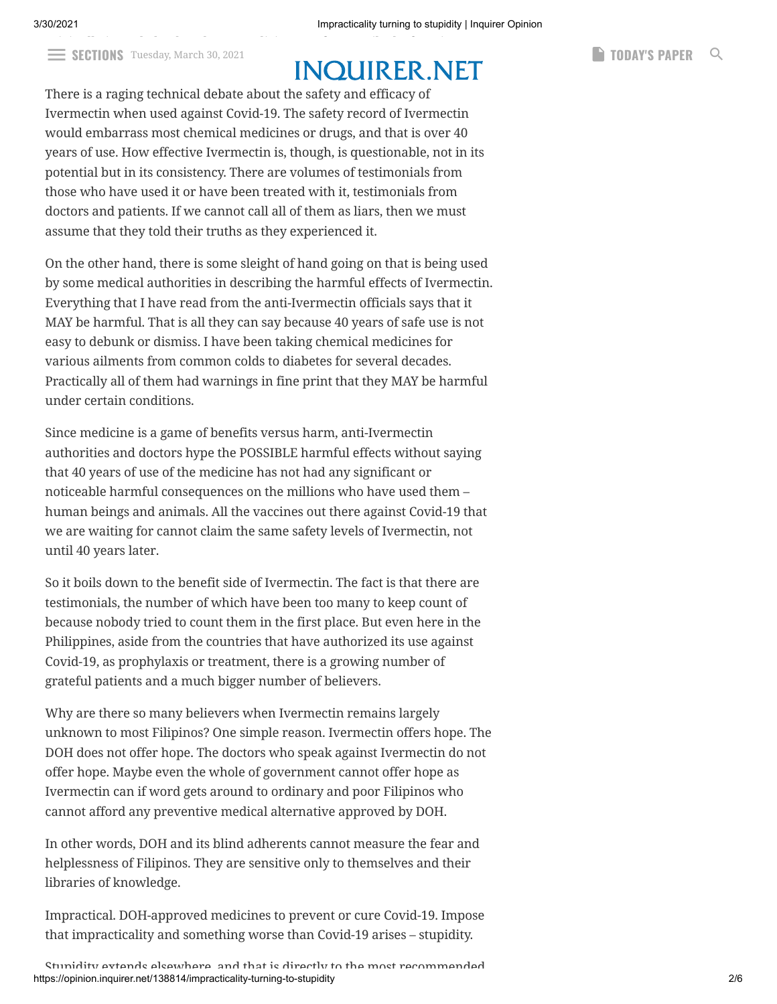$\equiv$  **SECTIONS** Tuesday, March 30, 2021 **INIAI IID FD NIFT** 

There is a raging technical debate about the safety and efficacy of Ivermectin when used against Covid-19. The safety record of Ivermectin would embarrass most chemical medicines or drugs, and that is over 40 years of use. How effective Ivermectin is, though, is questionable, not in its potential but in its consistency. There are volumes of testimonials from those who have used it or have been treated with it, testimonials from doctors and patients. If we cannot call all of them as liars, then we must assume that they told their truths as they experienced it.

On the other hand, there is some sleight of hand going on that is being used by some medical authorities in describing the harmful effects of Ivermectin. Everything that I have read from the anti-Ivermectin officials says that it MAY be harmful. That is all they can say because 40 years of safe use is not easy to debunk or dismiss. I have been taking chemical medicines for various ailments from common colds to diabetes for several decades. Practically all of them had warnings in fine print that they MAY be harmful under certain conditions.

Since medicine is a game of benefits versus harm, anti-Ivermectin authorities and doctors hype the POSSIBLE harmful effects without saying that 40 years of use of the medicine has not had any significant or noticeable harmful consequences on the millions who have used them – human beings and animals. All the vaccines out there against Covid-19 that we are waiting for cannot claim the same safety levels of Ivermectin, not until 40 years later.

So it boils down to the benefit side of Ivermectin. The fact is that there are testimonials, the number of which have been too many to keep count of because nobody tried to count them in the first place. But even here in the Philippines, aside from the countries that have authorized its use against Covid-19, as prophylaxis or treatment, there is a growing number of grateful patients and a much bigger number of believers.

Why are there so many believers when Ivermectin remains largely unknown to most Filipinos? One simple reason. Ivermectin offers hope. The DOH does not offer hope. The doctors who speak against Ivermectin do not offer hope. Maybe even the whole of government cannot offer hope as Ivermectin can if word gets around to ordinary and poor Filipinos who cannot afford any preventive medical alternative approved by DOH.

In other words, DOH and its blind adherents cannot measure the fear and helplessness of Filipinos. They are sensitive only to themselves and their libraries of knowledge.

Impractical. DOH-approved medicines to prevent or cure Covid-19. Impose that impracticality and something worse than Covid-19 arises – stupidity.